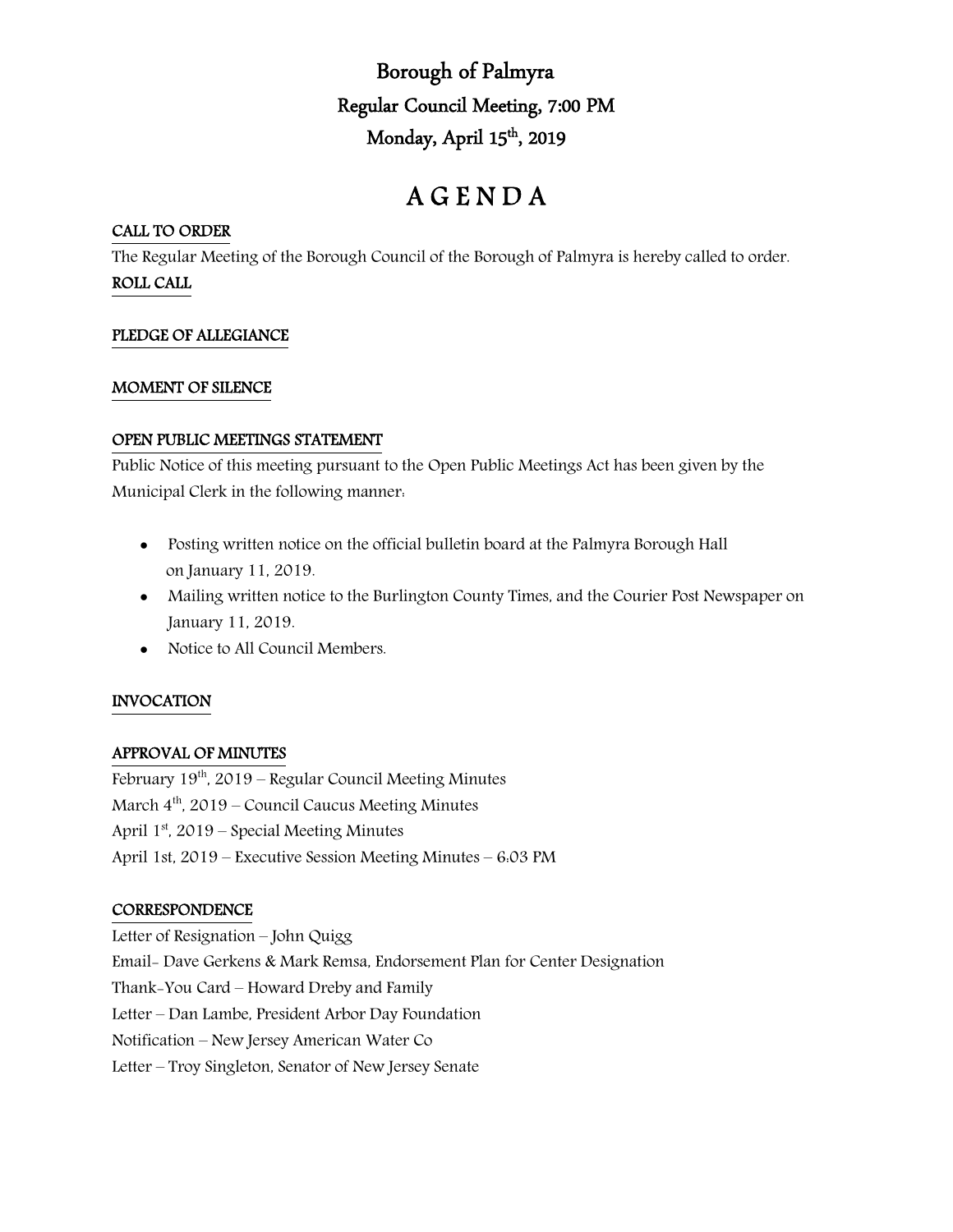# Borough of Palmyra Regular Council Meeting, 7:00 PM Monday, April 15<sup>th</sup>, 2019

# A G E N D A

# CALL TO ORDER

The Regular Meeting of the Borough Council of the Borough of Palmyra is hereby called to order. ROLL CALL

# PLEDGE OF ALLEGIANCE

## MOMENT OF SILENCE

## OPEN PUBLIC MEETINGS STATEMENT

Public Notice of this meeting pursuant to the Open Public Meetings Act has been given by the Municipal Clerk in the following manner:

- Posting written notice on the official bulletin board at the Palmyra Borough Hall on January 11, 2019.
- Mailing written notice to the Burlington County Times, and the Courier Post Newspaper on January 11, 2019.
- Notice to All Council Members.

# INVOCATION

# APPROVAL OF MINUTES

February  $19<sup>th</sup>$ , 2019 – Regular Council Meeting Minutes March  $4<sup>th</sup>$ , 2019 – Council Caucus Meeting Minutes April  $1<sup>st</sup>$ , 2019 – Special Meeting Minutes April 1st, 2019 – Executive Session Meeting Minutes – 6:03 PM

# **CORRESPONDENCE**

Letter of Resignation – John Quigg Email- Dave Gerkens & Mark Remsa, Endorsement Plan for Center Designation Thank-You Card – Howard Dreby and Family Letter – Dan Lambe, President Arbor Day Foundation Notification – New Jersey American Water Co Letter – Troy Singleton, Senator of New Jersey Senate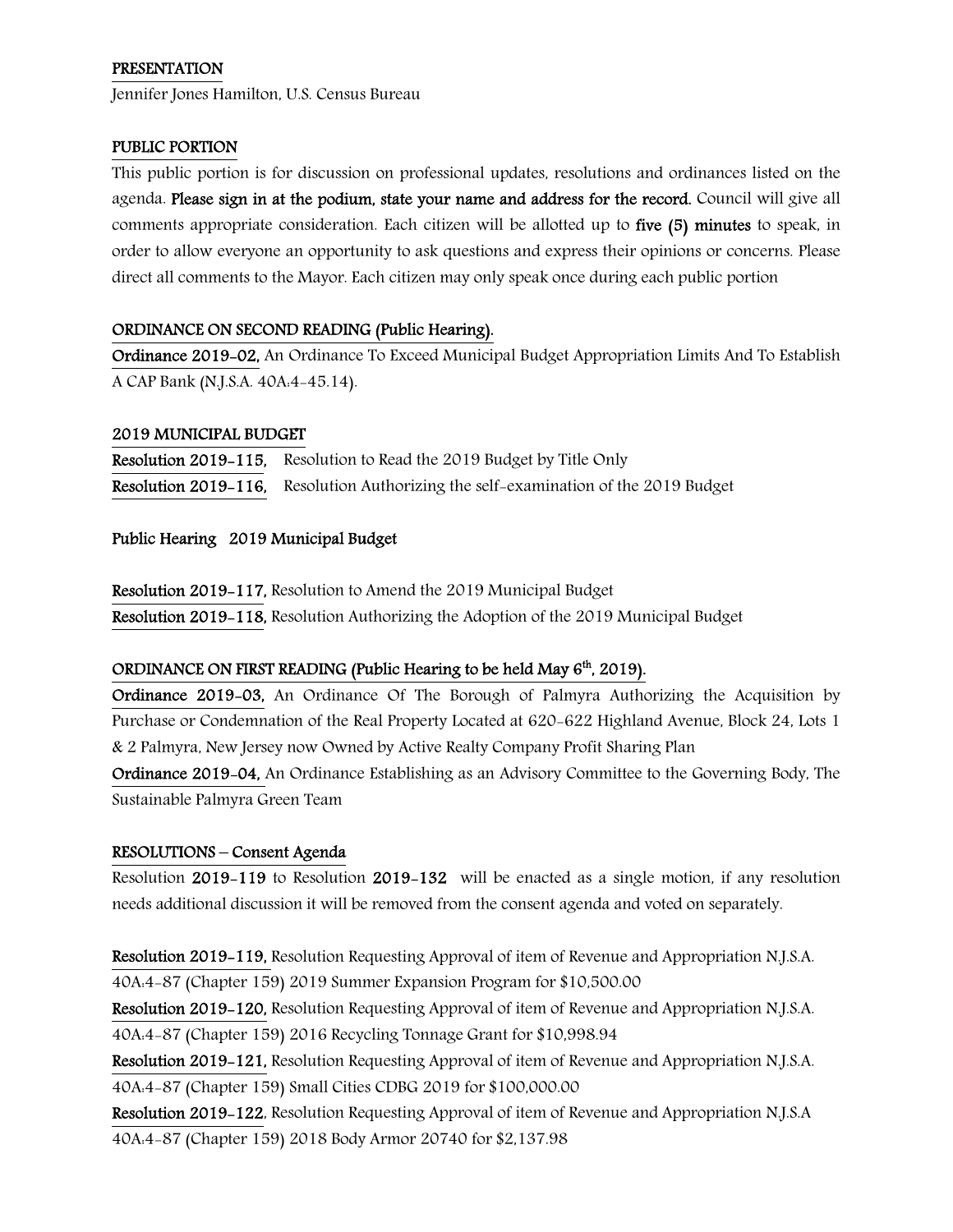## PRESENTATION

Jennifer Jones Hamilton, U.S. Census Bureau

## PUBLIC PORTION

This public portion is for discussion on professional updates, resolutions and ordinances listed on the agenda. Please sign in at the podium, state your name and address for the record. Council will give all comments appropriate consideration. Each citizen will be allotted up to five (5) minutes to speak, in order to allow everyone an opportunity to ask questions and express their opinions or concerns. Please direct all comments to the Mayor. Each citizen may only speak once during each public portion

## ORDINANCE ON SECOND READING (Public Hearing).

Ordinance 2019-02, An Ordinance To Exceed Municipal Budget Appropriation Limits And To Establish A CAP Bank (N.J.S.A. 40A:4-45.14).

## 2019 MUNICIPAL BUDGET

Resolution 2019-115, Resolution to Read the 2019 Budget by Title Only Resolution 2019-116, Resolution Authorizing the self-examination of the 2019 Budget

## Public Hearing 2019 Municipal Budget

Resolution 2019-117, Resolution to Amend the 2019 Municipal Budget Resolution 2019-118, Resolution Authorizing the Adoption of the 2019 Municipal Budget

# ORDINANCE ON FIRST READING (Public Hearing to be held May  $6<sup>th</sup>$ , 2019).

Ordinance 2019-03, An Ordinance Of The Borough of Palmyra Authorizing the Acquisition by Purchase or Condemnation of the Real Property Located at 620-622 Highland Avenue, Block 24, Lots 1 & 2 Palmyra, New Jersey now Owned by Active Realty Company Profit Sharing Plan

Ordinance 2019-04, An Ordinance Establishing as an Advisory Committee to the Governing Body, The Sustainable Palmyra Green Team

# RESOLUTIONS – Consent Agenda

Resolution 2019-119 to Resolution 2019-132 will be enacted as a single motion, if any resolution needs additional discussion it will be removed from the consent agenda and voted on separately.

Resolution 2019-119, Resolution Requesting Approval of item of Revenue and Appropriation N.J.S.A. 40A:4-87 (Chapter 159) 2019 Summer Expansion Program for \$10,500.00

Resolution 2019-120, Resolution Requesting Approval of item of Revenue and Appropriation N.J.S.A. 40A:4-87 (Chapter 159) 2016 Recycling Tonnage Grant for \$10,998.94

Resolution 2019-121, Resolution Requesting Approval of item of Revenue and Appropriation N.J.S.A. 40A:4-87 (Chapter 159) Small Cities CDBG 2019 for \$100,000.00

Resolution 2019-122, Resolution Requesting Approval of item of Revenue and Appropriation N.J.S.A 40A:4-87 (Chapter 159) 2018 Body Armor 20740 for \$2,137.98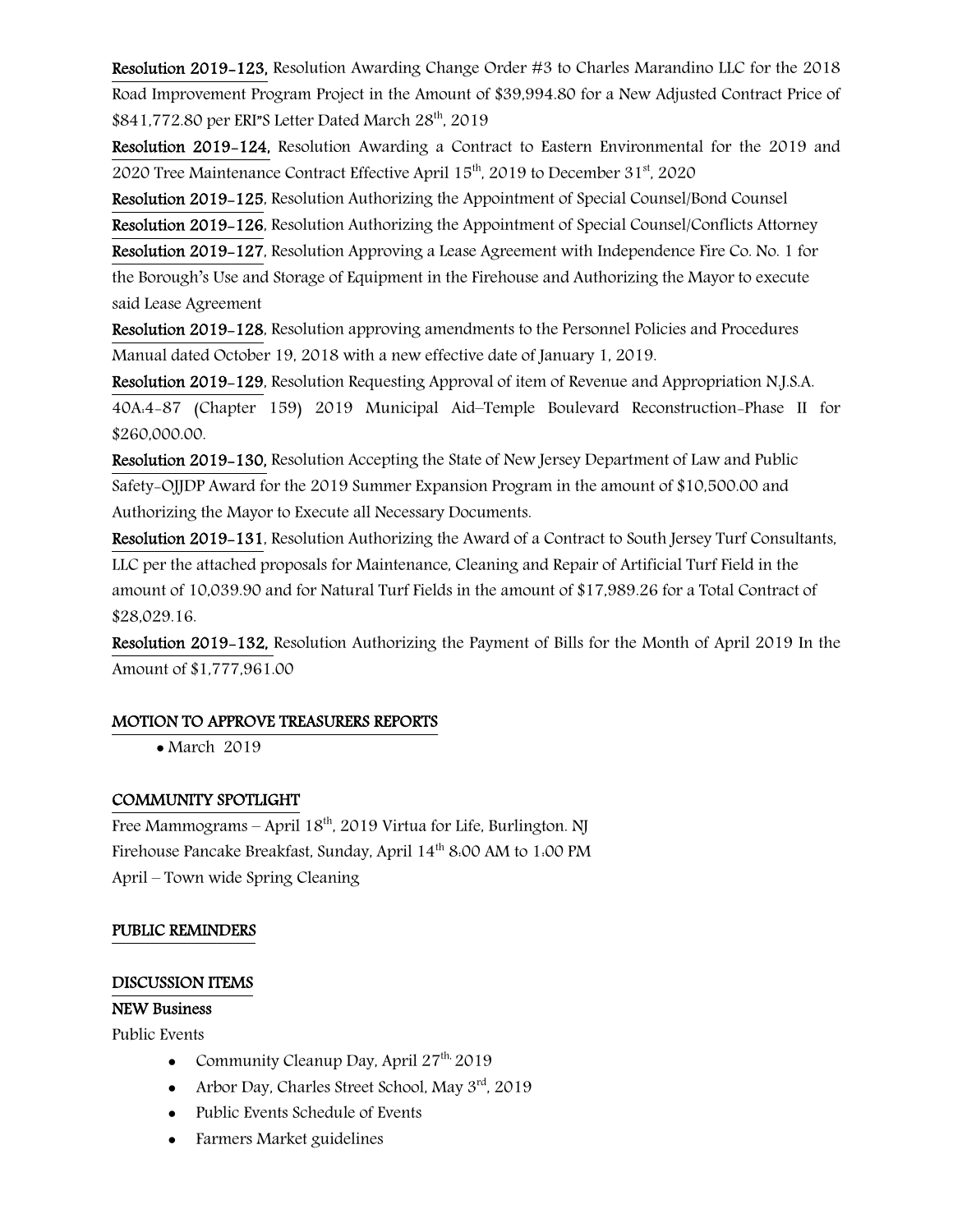Resolution 2019-123, Resolution Awarding Change Order #3 to Charles Marandino LLC for the 2018 Road Improvement Program Project in the Amount of \$39,994.80 for a New Adjusted Contract Price of \$841,772.80 per ERI"S Letter Dated March 28<sup>th</sup>, 2019

Resolution 2019-124, Resolution Awarding a Contract to Eastern Environmental for the 2019 and 2020 Tree Maintenance Contract Effective April 15<sup>th</sup>, 2019 to December 31<sup>st</sup>, 2020

Resolution 2019-125, Resolution Authorizing the Appointment of Special Counsel/Bond Counsel

Resolution 2019-126, Resolution Authorizing the Appointment of Special Counsel/Conflicts Attorney

Resolution 2019-127, Resolution Approving a Lease Agreement with Independence Fire Co. No. 1 for

the Borough's Use and Storage of Equipment in the Firehouse and Authorizing the Mayor to execute said Lease Agreement

Resolution 2019-128, Resolution approving amendments to the Personnel Policies and Procedures Manual dated October 19, 2018 with a new effective date of January 1, 2019.

Resolution 2019-129, Resolution Requesting Approval of item of Revenue and Appropriation N.J.S.A. 40A:4-87 (Chapter 159) 2019 Municipal Aid–Temple Boulevard Reconstruction-Phase II for \$260,000.00.

Resolution 2019-130, Resolution Accepting the State of New Jersey Department of Law and Public Safety-OJJDP Award for the 2019 Summer Expansion Program in the amount of \$10,500.00 and Authorizing the Mayor to Execute all Necessary Documents.

Resolution 2019-131, Resolution Authorizing the Award of a Contract to South Jersey Turf Consultants, LLC per the attached proposals for Maintenance, Cleaning and Repair of Artificial Turf Field in the amount of 10,039.90 and for Natural Turf Fields in the amount of \$17,989.26 for a Total Contract of \$28,029.16.

Resolution 2019-132, Resolution Authorizing the Payment of Bills for the Month of April 2019 In the Amount of \$1,777,961.00

# MOTION TO APPROVE TREASURERS REPORTS

• March 2019

# COMMUNITY SPOTLIGHT

Free Mammograms – April  $18^{th}$ , 2019 Virtua for Life, Burlington. NJ Firehouse Pancake Breakfast, Sunday, April 14<sup>th</sup> 8:00 AM to 1:00 PM April – Town wide Spring Cleaning

## PUBLIC REMINDERS

## DISCUSSION ITEMS

## NEW Business

Public Events

- Community Cleanup Day, April  $27^{th}$  2019
- Arbor Day, Charles Street School, May  $3<sup>rd</sup>$ , 2019
- Public Events Schedule of Events
- Farmers Market guidelines